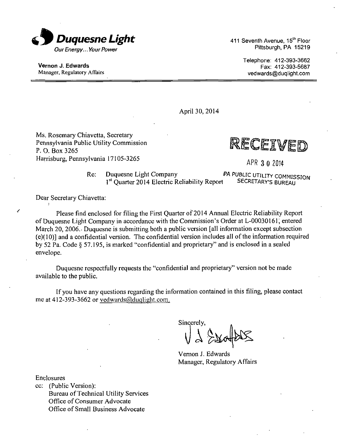

Vernon J. Edwards Manager, Regulatory Affairs 411 Seventh Avenue, 15<sup>th</sup> Floor Pittsburgh, PA 15219

> Telephone: 412-393-3662 Fax: 412-393-5687 vedwards@duqlight.com

April 30, 2014

Ms. Rosemary Chiavetta, Secretary Pennsylvania Public Utility Commission P. 0. Box 3265 Harrisburg, Pennsylvania 17105-3265 APR 3 0 2014

RECEIVED

Re: Duquesne Light Company PA PUBLIC UTILITY COMMISSION 1<sup>st</sup> Ouarter 2014 Electric Reliability Report SECRETARY'S BUREAU <sup>1st</sup> Quarter 2014 Electric Reliability Report SECRETARY'S BUREAU

Dear Secretary Chiavetta:

Please find enclosed for filing the First Quarter of 2014 Annual Electric Reliability Report of Duquesne Light Company in accordance with the Commission's Order at L-00030161; entered March 20, 2006. Duquesne is submitting both a public version [all information except subsection (e)( 10)] and a confidential version. The confidential version includes all of the information required by 52 Pa. Code § 57.195, is marked "confidential and proprietary" and is enclosed in a sealed envelope.

Duquesne respectfully requests the "confidential and proprietary" version not be made available to the public.

If you have any questions regarding the information contained in this filing, please contact me at 412-393-3662 or vedwards@duqlight.com.

Sincerely,

Vernon J. Edwards Manager, Regulatory Affairs

Enclosures

cc: (Public Version): Bureau of Technical Utility Services Office of Consumer Advocate Office of Small Business Advocate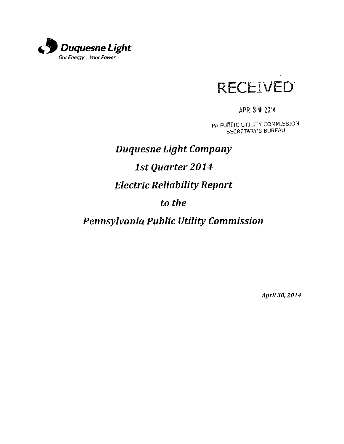



APR 3 0 2014

PA PUBLIC UTILITY COMMISSION SECRETARY'S BUREAU

 $\hat{\mathcal{L}}$ 

# *Duquesne Light Company 1st Quarter 2014 Electric Reliability Report to the*

# *Pennsylvania Public Utility Commission*

*April 30, 2014*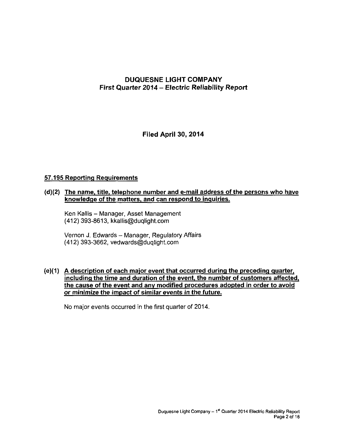## **DUQUESNE LIGHT COMPANY First Quarter 2014 - Electric Reliability Report**

**Filed April 30, 2014** 

#### **57.195 Reporting Requirements**

#### **(d)(2) The name, title, telephone number and e-mail address of the persons who have knowledge of the matters, and can respond to inquiries.**

Ken Kallis - Manager, Asset Management (412) 393-8613, kkallis@duqlight.com

Vernon J. Edwards - Manager, Regulatory Affairs (412) 393-3662, vedwards@duqlight.com

#### **(e)(1) A description of each major event that occurred during the preceding quarter, including the time and duration of the event, the number of customers affected, the cause of the event and any modified procedures adopted in order to avoid or minimize the impact of similar events in the future.**

No major events occurred in the first quarter of 2014.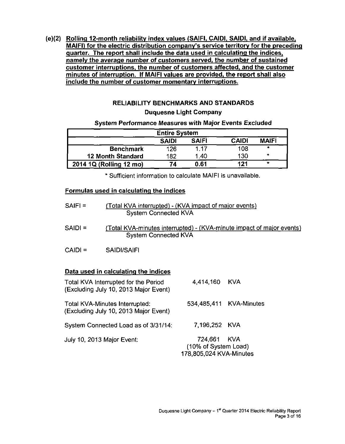**(e)(2) Rolling 12-month reliability index values (SAIFI, CAIDI, SAIDI, and if available, MAIFI) for the electric distribution company's service territory for the preceding quarter. The report shall include the data used in calculating the indices, namely the average number of customers served, the number of sustained customer interruptions, the number of customers affected, and the customer minutes of interruption. If MAIFI values are provided, the report shall also include the number of customer momentary interruptions.** 

# **RELIABILITY BENCHMARKS AND STANDARDS**

# **Duquesne Light Company**

#### **System Performance Measures with Major Events Excluded**

| <b>Entire System</b>                                         |     |      |     |         |  |  |  |
|--------------------------------------------------------------|-----|------|-----|---------|--|--|--|
| <b>MAIFI</b><br><b>CAIDI</b><br><b>SAIFI</b><br><b>SAIDI</b> |     |      |     |         |  |  |  |
| <b>Benchmark</b>                                             | 126 | 1 17 | 108 | $\star$ |  |  |  |
| <b>12 Month Standard</b>                                     | 182 | 1.40 | 130 | $\star$ |  |  |  |
| 2014 1Q (Rolling 12 mo)                                      | 74  | 0.61 | 121 | $\star$ |  |  |  |

**\* Sufficient information to calculate MAIFI is unavailable.** 

#### **Formulas used in calculating the indices**

| $SAIF =$  | (Total KVA interrupted) - (KVA impact of major events)<br><b>System Connected KVA</b>                |
|-----------|------------------------------------------------------------------------------------------------------|
| $SAIDI =$ | (Total KVA-minutes interrupted) - (KVA-minute impact of major events)<br><b>System Connected KVA</b> |
| $CAID =$  | SAIDI/SAIFI                                                                                          |

#### **Data used in calculating the indices**

| Total KVA Interrupted for the Period<br>(Excluding July 10, 2013 Major Event) | 4,414,160 KVA                                                  |                         |
|-------------------------------------------------------------------------------|----------------------------------------------------------------|-------------------------|
| Total KVA-Minutes Interrupted:<br>(Excluding July 10, 2013 Major Event)       |                                                                | 534,485,411 KVA-Minutes |
| System Connected Load as of 3/31/14:                                          | 7.196.252 KVA                                                  |                         |
| July 10, 2013 Major Event:                                                    | 724,661 KVA<br>(10% of System Load)<br>178,805,024 KVA-Minutes |                         |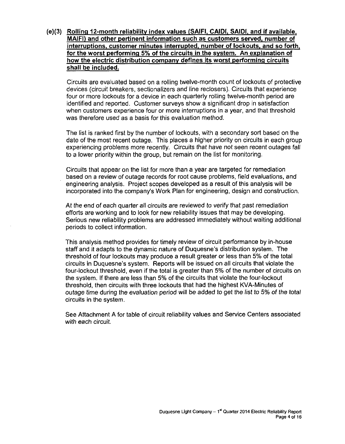**(e)(3) Rolling 12-month reliability index values (SAIFI, CAIDI, SAIDI, and if available. MAIFI) and other pertinent information such as customers served, number of interruptions, customer minutes interrupted, number of lockouts, and so forth, for the worst performing 5% of the circuits in the system. An explanation of how the electric distribution company defines its worst performing circuits shall be included.** 

Circuits are evaluated based on a rolling twelve-month count of lockouts of protective devices (circuit breakers, sectionalizers and line reclosers). Circuits that experience four or more lockouts for a device in each quarterly rolling twelve-month period are identified and reported. Customer surveys show a significant drop in satisfaction when customers experience four or more interruptions in a year, and that threshold was therefore used as a basis for this evaluation method.

The list is ranked first by the number of lockouts, with a secondary sort based on the date of the most recent outage. This places a higher priority on circuits in each group experiencing problems more recently. Circuits that have not seen recent outages fall to a lower priority within the group, but remain on the list for monitoring.

Circuits that appear on the list for more than a year are targeted for remediation based on a review of outage records for root cause problems, field evaluations, and engineering analysis. Project scopes developed as a result of this analysis will be incorporated into the company's Work Plan for engineering, design and construction.

At the end of each quarter all circuits are reviewed to verify that past remediation efforts are working and to look for new reliability issues that may be developing. Serious new reliability problems are addressed immediately without waiting additional periods to collect information.

This analysis method provides for timely review of circuit performance by in-house staff and it adapts to the dynamic nature of Duquesne"s distribution system. The threshold of four lockouts may produce a result greater or less than 5% of the total circuits in Duquesne's system. Reports will be issued on all circuits that violate the four-lockout threshold, even if the total is greater than 5% of the number of circuits on the system. If there are less than 5% of the circuits that violate the four-lockout threshold, then circuits with three lockouts that had the highest KVA-Minutes of outage time during the evaluation period will be added to get the list to 5% of the total circuits in the system.

See Attachment A for table of circuit reliability values and Service Centers associated with each circuit.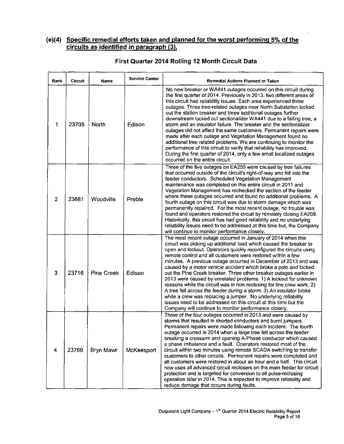### **(e)(4) Specific remedial efforts taken and planned for the worst performing 5% of the circuits as identified in paragraph (3).**

| Rank           | <b>Circuit</b> | Name              | <b>Service Center</b> | Remedial Actions Planned or Taken                                                                                                                                                                                                                                                                                                                                                                                                                                                                                                                                                                                                                                                                                                                                                                                                                                                                        |
|----------------|----------------|-------------------|-----------------------|----------------------------------------------------------------------------------------------------------------------------------------------------------------------------------------------------------------------------------------------------------------------------------------------------------------------------------------------------------------------------------------------------------------------------------------------------------------------------------------------------------------------------------------------------------------------------------------------------------------------------------------------------------------------------------------------------------------------------------------------------------------------------------------------------------------------------------------------------------------------------------------------------------|
| 1              | 23705          | North             | Edison                | No new breaker or WA441 outages occurred on this circuit during<br>the first guarter of 2014. Previously in 2013, two different areas of<br>this circuit had reliability issues. Each area experienced three<br>outages. Three tree-related outages near North Substation locked<br>out the station breaker and three additional outages further<br>downstream locked out sectionalizer WA441 due to a falling tree, a<br>storm and an insulator failure. The breaker and the sectionalizer<br>outages did not affect the same customers. Permanent repairs were<br>made after each outage and Vegetation Management found no<br>additional tree related problems. We are continuing to monitor the<br>performance of this circuit to verify that reliability has improved.<br>During the first quarter of 2014, only a few small localized outages<br>occurred on the entire circuit.                   |
| $\overline{2}$ | 23681          | Woodville         | Preble                | Three of the five outages on EA259 were caused by tree failures<br>that occurred outside of the circuit's right-of-way and fell into the<br>feeder conductors. Scheduled Vegetation Management<br>maintenance was completed on this entire circuit in 2011 and<br>Vegetation Management has rechecked the section of the feeder<br>where these outages occurred and found no additional problems. A<br>fourth outage on this circuit was due to storm damage which was<br>permanently repaired. For the most recent outage, no trouble was<br>found and operators restored the circuit by remotely closing EA259.<br>Historically, this circuit has had good reliability and no underlying<br>reliability issues need to be addressed at this time but, the Company<br>will continue to monitor performance closely.                                                                                     |
| 3              | 23716          | <b>Pine Creek</b> | Edison                | The most recent outage occurred in January of 2014 when this<br>circuit was picking up additional load which caused the breaker to<br>open and lockout. Operators quickly reconfigured the circuits using<br>remote control and all customers were restored within a few<br>minutes. A previous outage occurred in December of 2013 and was<br>caused by a motor vehicle accident which broke a pole and locked<br>out the Pine Creek breaker. Three other breaker outages earlier in<br>2013 were caused by unrelated problems. 1) A lockout for unknown<br>reasons while the circuit was in non-reclosing for line crew work. 2)<br>A tree fell across the feeder during a storm. 3) An insulator broke<br>while a crew was replacing a jumper. No underlying reliability<br>issues need to be addressed on this circuit at this time but the<br>Company will continue to monitor performance closely. |
| 4              | 23769          | Bryn Mawr         | McKeesport            | Three of the four outages occurred in 2013 and were caused by<br>storms that resulted in shorted conductors and burnt jumpers.<br>Permanent repairs were made following each incident. The fourth<br>outage occurred in 2014 when a large tree fell across the feeder<br>breaking a crossarm and opening A-Phase conductor which caused<br>a phase imbalance and a fault. Operators restored most of the<br>circuit within two minutes using remote SCADA switching to transfer<br>customers to other circuits. Permanent repairs were completed and<br>all customers were restored in about an hour and a half. This circuit<br>now uses all advanced circuit reclosers on the main feeder for circuit<br>protection and is targeted for conversion to all pulse-reclosing<br>operation later in 2014. This is expected to improve reliability and<br>reduce damage that occurs during faults.          |

## **First Quarter 2014 Rolling 12 Month Circuit Data**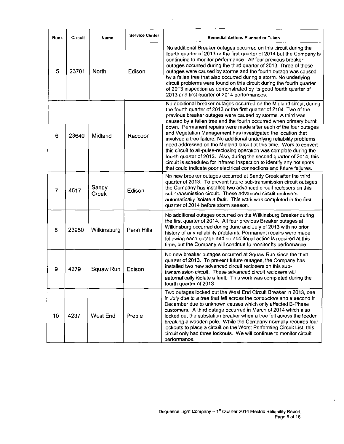| Rank           | <b>Circuit</b> | Name           | <b>Service Center</b> | Remedial Actions Planned or Taken                                                                                                                                                                                                                                                                                                                                                                                                                                                                                                                                                                                                                                                                                                                                                                                                                                         |
|----------------|----------------|----------------|-----------------------|---------------------------------------------------------------------------------------------------------------------------------------------------------------------------------------------------------------------------------------------------------------------------------------------------------------------------------------------------------------------------------------------------------------------------------------------------------------------------------------------------------------------------------------------------------------------------------------------------------------------------------------------------------------------------------------------------------------------------------------------------------------------------------------------------------------------------------------------------------------------------|
| 5.             | 23701          | <b>North</b>   | Edison                | No additional Breaker outages occurred on this circuit during the<br>fourth quarter of 2013 or the first quarter of 2014 but the Company is<br>continuing to monitor performance. All four previous breaker<br>outages occurred during the third quarter of 2013. Three of these<br>outages were caused by storms and the fourth outage was caused<br>by a fallen tree that also occurred during a storm. No underlying<br>circuit problems were found on this circuit during the fourth quarter<br>of 2013 inspection as demonstrated by its good fourth quarter of<br>2013 and first quarter of 2014 performances.                                                                                                                                                                                                                                                      |
| 6              | 23640          | Midland        | Raccoon               | No additional breaker outages occurred on the Midland circuit during<br>the fourth quarter of 2013 or the first quarter of 2104. Two of the<br>previous breaker outages were caused by storms. A third was<br>caused by a fallen tree and the fourth occurred when primary burnt<br>down. Permanent repairs were made after each of the four outages<br>and Vegetation Management has investigated the location that<br>involved a tree failure. No additional underlying reliability problems<br>need addressed on the Midland circuit at this time. Work to convert<br>this circuit to all-pulse-reclosing operation was complete during the<br>fourth quarter of 2013. Also, during the second quarter of 2014, this<br>circuit is scheduled for infrared inspection to identify any hot spots<br>that could indicate poor electrical connections and future failures. |
| $\overline{7}$ | 4517           | Sandy<br>Creek | Edison                | No new breaker outages occurred at Sandy Creek after the third<br>quarter of 2013. To prevent future sub-transmission circuit outages<br>the Company has installed two advanced circuit reclosers on this<br>sub-transmission circuit. These advanced circuit reclosers<br>automatically isolate a fault. This work was completed in the first<br>quarter of 2014 before storm season.                                                                                                                                                                                                                                                                                                                                                                                                                                                                                    |
| 8              | 23950          | Wilkinsburg    | Penn Hills            | No additional outages occurred on the Wilkinsburg Breaker during<br>the first quarter of 2014. All four previous Breaker outages at<br>Wilkinsburg occurred during June and July of 2013 with no prior<br>history of any reliability problems. Permanent repairs were made<br>following each outage and no additional action is required at this<br>time, but the Company will continue to monitor its performance.                                                                                                                                                                                                                                                                                                                                                                                                                                                       |
| 9              | 4279           | Squaw Run      | Edison                | No new breaker outages occurred at Squaw Run since the third<br>quarter of 2013. To prevent future outages, the Company has<br>installed two new advanced circuit reclosers on this sub-<br>transmission circuit. These advanced circuit reclosers will<br>automatically isolate a fault. This work was completed during the<br>fourth quarter of 2013.                                                                                                                                                                                                                                                                                                                                                                                                                                                                                                                   |
| 10             | 4237           | West End       | Preble                | Two outages locked out the West End Circuit Breaker in 2013, one<br>in July due to a tree that fell across the conductors and a second in<br>December due to unknown causes which only affected B-Phase<br>customers. A third outage occurred in March of 2014 which also<br>locked out the substation breaker when a tree fell across the feeder<br>breaking a wooden pole. While the Company normally requires four<br>lockouts to place a circuit on the Worst Performing Circuit List, this<br>circuit only had three lockouts. We will continue to monitor circuit<br>performance.                                                                                                                                                                                                                                                                                   |

 $\mathcal{L}^{\pm}$ 

 $\bar{\psi}$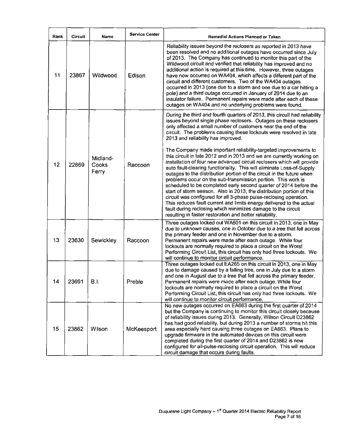| Rank | Circuit | Name                       | <b>Service Center</b> | Remedial Actions Planned or Taken                                                                                                                                                                                                                                                                                                                                                                                                                                                                                                                                                                                                                                                                                                                                                                                                                                                                                                                                                                                                                                                                                                                                                         |
|------|---------|----------------------------|-----------------------|-------------------------------------------------------------------------------------------------------------------------------------------------------------------------------------------------------------------------------------------------------------------------------------------------------------------------------------------------------------------------------------------------------------------------------------------------------------------------------------------------------------------------------------------------------------------------------------------------------------------------------------------------------------------------------------------------------------------------------------------------------------------------------------------------------------------------------------------------------------------------------------------------------------------------------------------------------------------------------------------------------------------------------------------------------------------------------------------------------------------------------------------------------------------------------------------|
| 11   | 23867   | Wildwood                   | Edison                | Reliability issues beyond the reclosers as reported in 2013 have<br>been resolved and no additional outages have occurred since July<br>of 2013. The Company has continued to monitor this part of the<br>Wildwood circuit and verified that reliability has improved and no<br>additional action is required at this time. However, three outages<br>have now occurred on WA404, which affects a different part of the<br>circuit and different customers. Two of the WA404 outages<br>occurred in 2013 (one due to a storm and one due to a car hitting a<br>pole) and a third outage occurred in January of 2014 due to an<br>insulator failure. Permanent repairs were made after each of these<br>outages on WA404 and no underlying problems were found.                                                                                                                                                                                                                                                                                                                                                                                                                            |
| 12   | 22869   | Midland-<br>Cooks<br>Ferry | Raccoon               | During the third and fourth quarters of 2013, this circuit had reliability<br>issues beyond single phase reclosers. Outages on these reclosers<br>only affected a small number of customers near the end of the<br>circuit. The problems causing these lockouts were resolved in late<br>2013 and reliability has improved.<br>The Company made important reliability-targeted improvements to<br>this circuit in late 2012 and in 2013 and we are currently working on<br>installation of four new advanced circuit reclosers which will provide<br>auto fault-clearing functionality. This will eliminate Loss-of-Supply<br>outages to the distribution portion of the circuit in the future when<br>problems occur on the sub-transmission portion. This work is<br>scheduled to be completed early second quarter of 2014 before the<br>start of storm season. Also in 2013, the distribution portion of this<br>circuit was configured for all 3-phase pulse-reclosing operation.<br>This reduces fault current and limits energy delivered to the actual<br>fault during reclosing which minimizes damage to the circuit<br>resulting in faster restoration and better reliability. |
| 13   | 23630   | Sewickley                  | Raccoon               | Three outages locked out WA601 on this circuit in 2013, one in May<br>due to unknown causes, one in October due to a tree that fell across<br>the primary feeder and one in November due to a storm.<br>Permanent repairs were made after each outage. While four<br>lockouts are normally required to place a circuit on the Worst<br>Performing Circuit List, this circuit has only had three lockouts. We<br>will continue to monitor circuit performance.                                                                                                                                                                                                                                                                                                                                                                                                                                                                                                                                                                                                                                                                                                                             |
| 14   | 23691   | <b>B.I.</b>                | Preble                | Three outages locked out EA265 on this circuit in 2013, one in May<br>due to damage caused by a falling tree, one in July due to a storm<br>and one in August due to a tree that fell across the primary feeder.<br>Permanent repairs were made after each outage. While four<br>lockouts are normally required to place a circuit on the Worst<br>Performing Circuit List, this circuit has only had three lockouts. We<br>will continue to monitor circuit performance.                                                                                                                                                                                                                                                                                                                                                                                                                                                                                                                                                                                                                                                                                                                 |
| 15   | 23862   | Wilson                     | McKeesport            | No new outages occurred on EA663 during the first quarter of 2014<br>but the Company is continuing to monitor this circuit closely because<br>of reliability issues during 2013. Generally, Wilson Circuit D23862<br>has had good reliability, but during 2013 a number of storms hit this<br>area especially hard causing three outages on EA663. Plans to<br>upgrade firmware in the automated devices on this circuit were<br>completed during the first quarter of 2014 and D23862 is now<br>configured for all-pulse-reclosing circuit operation. This will reduce<br>circuit damage that occurs during faults.                                                                                                                                                                                                                                                                                                                                                                                                                                                                                                                                                                      |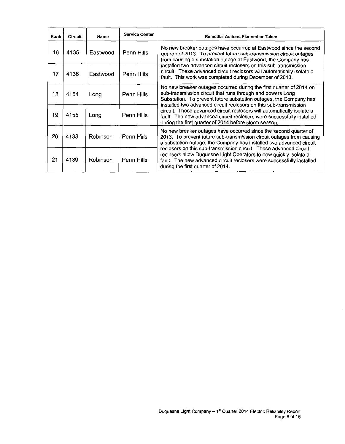| Rank | <b>Circuit</b> | Name     | <b>Service Center</b> | <b>Remedial Actions Planned or Taken</b>                                                                                                                                                                                                                                    |  |  |
|------|----------------|----------|-----------------------|-----------------------------------------------------------------------------------------------------------------------------------------------------------------------------------------------------------------------------------------------------------------------------|--|--|
| 16   | 4135           | Eastwood | Penn Hills            | No new breaker outages have occurred at Eastwood since the second<br>quarter of 2013. To prevent future sub-transmission circuit outages<br>from causing a substation outage at Eastwood, the Company has                                                                   |  |  |
| 17   | 4136           | Eastwood | Penn Hills            | installed two advanced circuit reclosers on this sub-transmission<br>circuit. These advanced circuit reclosers will automatically isolate a<br>fault. This work was completed during December of 2013.                                                                      |  |  |
| 18   | 4154           | Long     | Penn Hills            | No new breaker outages occurred during the first quarter of 2014 on<br>sub-transmission circuit that runs through and powers Long<br>Substation. To prevent future substation outages, the Company has<br>installed two advanced circuit reclosers on this sub-transmission |  |  |
| 19   | 4155           | Long     | Penn Hills            | circuit. These advanced circuit reclosers will automatically isolate a<br>fault. The new advanced circuit reclosers were successfully installed<br>during the first quarter of 2014 before storm season.                                                                    |  |  |
| 20   | 4138           | Robinson | Penn Hills            | No new breaker outages have occurred since the second quarter of<br>2013. To prevent future sub-transmission circuit outages from causing<br>a substation outage, the Company has installed two advanced circuit                                                            |  |  |
| 21   | 4139           | Robinson | Penn Hills            | reclosers on this sub-transmission circuit. These advanced circuit<br>reclosers allow Duquesne Light Operators to now quickly isolate a<br>fault. The new advanced circuit reclosers were successfully installed<br>during the first quarter of 2014.                       |  |  |

 $\ddot{\phantom{0}}$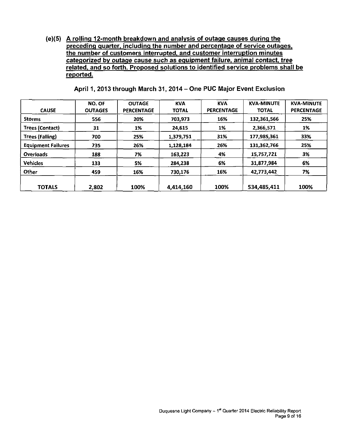(e)(5) A rolling 12-month breakdown and analysis of outage causes during the preceding quarter, including the number and percentage of service outages, the number of customers interrupted, and customer interruption minutes categorized by outage cause such as equipment failure, animal contact, tree related, and so forth. Proposed solutions to identified service problems shall be reported.

| <b>CAUSE</b>              | <b>NO. OF</b><br><b>OUTAGES</b> | <b>OUTAGE</b><br><b>PERCENTAGE</b> | <b>KVA</b><br><b>TOTAL</b> | <b>KVA</b><br><b>PERCENTAGE</b> | <b>KVA-MINUTE</b><br><b>TOTAL</b> | <b>KVA-MINUTE</b><br>PERCENTAGE |
|---------------------------|---------------------------------|------------------------------------|----------------------------|---------------------------------|-----------------------------------|---------------------------------|
| <b>Storms</b>             | 556                             | 20%                                | 703,973                    | 16%                             | 132,361,566                       | 25%                             |
| <b>Trees (Contact)</b>    | 31                              | 1%                                 | 24,615                     | 1%                              | 2,366,571                         | 1%                              |
| Trees (Falling)           | 700                             | 25%                                | 1,379,751                  | 31%                             | 177,985,361                       | 33%                             |
| <b>Equipment Failures</b> | 735                             | 26%                                | 1,128,184                  | 26%                             | 131,362,766                       | 25%                             |
| <b>Overloads</b>          | 188                             | 7%                                 | 163,223                    | 4%                              | 15,757,721                        | 3%                              |
| <b>Vehicles</b>           | 133                             | 5%                                 | 284.238                    | 6%                              | 31,877,984                        | 6%                              |
| Other                     | 459                             | 16%                                | 730.176                    | 16%                             | 42,773,442                        | 7%                              |
| <b>TOTALS</b>             | 2,802                           | 100%                               | 4,414,160                  | 100%                            | 534,485,411                       | 100%                            |

April 1, 2013 through March 31, 2014 - One PUC Major Event Exclusion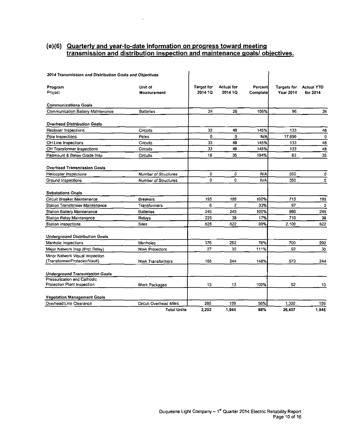#### **(e)(6) Quarterly and year-to-date information on progress toward meeting transmission and distribution inspection and maintenance goals/ objectives.**

 $\mathcal{A}(\mathcal{A})$  and  $\mathcal{A}(\mathcal{A})$ 

| 2014 Transmission and Distribution Goals and Objectives          |                               |                              |                              |                             |                                 |                               |
|------------------------------------------------------------------|-------------------------------|------------------------------|------------------------------|-----------------------------|---------------------------------|-------------------------------|
| Program<br>Project                                               | Unit of<br>Measurement        | <b>Target for</b><br>2014 1Q | <b>Actual for</b><br>2014 1Q | Percentl<br><b>Complete</b> | <b>Targets for</b><br>Year 2014 | <b>Actual YTD</b><br>for 2014 |
| <b>Communications Goals</b>                                      |                               |                              |                              |                             |                                 |                               |
| Communication Battery Maintenance                                | <b>Batteries</b>              | 24                           | 26                           | 108%                        | 96                              | 26                            |
| <b>Overhead Distribution Goals</b>                               |                               |                              |                              |                             |                                 |                               |
| Recloser Inspections                                             | Circuits                      | 33                           | 48                           | 145%                        | 133                             | 48                            |
| Pole Inspections                                                 | Poles                         | 0                            | 0                            | N/A                         | 17,690                          | 0                             |
| OH Line Inspections                                              | Circuits                      | 33                           | 48                           | 145%                        | 133                             | 48                            |
| OH Transformer Inspections                                       | Circuits                      | 33                           | 48                           | 145%                        | 133                             | 48                            |
| Padmount & Below Grade Insp                                      | Circuits                      | 18                           | 35                           | 194%                        | 83                              | 35                            |
| <b>Overhead Transmission Goals</b>                               |                               |                              |                              |                             |                                 |                               |
| <b>Helicopter Inspections</b>                                    | <b>Number of Structures</b>   | ٥                            | 0                            | N/A                         | 500                             | 0                             |
| Ground Inspections                                               | Number of Structures          | 0                            | 0                            | N/A                         | 350                             | 0                             |
| <b>Substations Goals</b>                                         |                               |                              |                              |                             |                                 |                               |
| Circuit Breaker Maintenance                                      | <b>Breakers</b>               | 195                          | 195                          | 100%                        | 715                             | 195                           |
| <b>Station Transformer Maintenance</b>                           | Transformers                  | 6                            | $\overline{2}$               | 33%                         | 67                              | $\mathbf 2$                   |
| <b>Station Battery Maintenance</b>                               | <b>Batteries</b>              | 245                          | 245                          | 100%                        | 980                             | 245                           |
| Station Relay Maintenance                                        | Relays                        | 225                          | 38                           | 17%                         | 710                             | 38                            |
| Station Inspections                                              | <b>Sites</b>                  | 525                          | 522                          | 99%                         | 2.100                           | 522                           |
| <b>Underground Distribution Goals</b>                            |                               |                              |                              |                             |                                 |                               |
| Manhole Inspections                                              | Manholes                      | 375                          | 292                          | 78%                         | 700                             | 292                           |
| Major Network Insp (Prot Relay)                                  | <b>Ntwk Protectors</b>        | 27                           | 30                           | 111%                        | 92                              | 30                            |
| Minor Network Visual Inspection<br>(Transformer/Protector/Vault) | <b>Ntwk Transformers</b>      | 165                          | 244                          | 148%                        | 573                             | 244                           |
| <b>Underground Transmission Goals</b>                            |                               |                              |                              |                             |                                 |                               |
| Pressurization and Cathodic                                      |                               |                              |                              |                             |                                 |                               |
| Protection Plant Inspection                                      | Work Packages                 | 13                           | 13                           | 100%                        | 52                              | 13                            |
| <b>Vegetation Management Goals</b>                               |                               |                              |                              |                             |                                 |                               |
| Overhead Line Clearance                                          | <b>Circuit Overhead Miles</b> | 285                          | 159                          | 56%                         | 1.300                           | 159                           |
|                                                                  | <b>Total Units</b>            | 2,202                        | 1.945                        | 88%                         | 26 407                          | 1.945                         |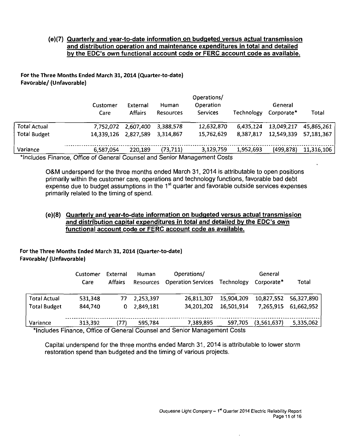#### **{e)(7) Quarterly and year-to-date information on budgeted versus actual transmission and distribution operation and maintenance expenditures in total and detailed bv the EDC's own functional account code or FERC account code as available.**

#### **For the Three Months Ended March 31,2014 (Quarter-to-date) Favorable/ (Unfavorable)**

| Customer<br>Care | External<br><b>Affairs</b> | Human<br><b>Resources</b> | Operations/<br>Operation<br><b>Services</b> | Technology | General<br>Corporate* | Total      |
|------------------|----------------------------|---------------------------|---------------------------------------------|------------|-----------------------|------------|
|                  | 2,607,400                  | 3,388,578                 | 12,632,870                                  | 6,435,124  | 13,049,217            | 45,865,261 |
|                  | 2.827,589                  | 3.314.867                 | 15,762,629                                  | 8,387,817  | 12,549,339            | 57,181,367 |
| 6,587,054        | 220,189                    | (73, 711)                 | 3,129,759                                   | 1,952,693  | (499, 878)            | 11,316,106 |
|                  |                            | 7,752,072<br>14.339.126   |                                             |            |                       |            |

"Includes Finance, Office of General Counsel and Senior Management Costs

OStM underspend for the three months ended March 31, 2014 is attributable to open positions primarily within the customer care, operations and technology functions, favorable bad debt expense due to budget assumptions in the 1<sup>st</sup> quarter and favorable outside services expenses primarily related to the timing of spend.

#### **(e)(8) Quarterly and year-to-date information on budgeted versus actual transmission and distribution capital expenditures in total and detailed by the EDC's own functional account code or FERC account code as available.**

**For the Three Months Ended March 31, 2014 (Quarter-to-date) Favorable/ (Unfavorable)** 

|                     | Customer<br>Care | External<br><b>Affairs</b> | <b>Human</b><br><b>Resources</b> | Operations/<br><b>Operation Services</b> | Technology | General<br>Corporate* | Total      |
|---------------------|------------------|----------------------------|----------------------------------|------------------------------------------|------------|-----------------------|------------|
| <b>Total Actual</b> | 531,348          | 77                         | 2,253,397                        | 26,811,307                               | 15.904.209 | 10.827.552            | 56,327,890 |
| <b>Total Budget</b> | 844.740          | 0                          | 2,849,181                        | 34,201,202                               | 16,501,914 | 7.265.915             | 61,662,952 |
| Variance            | 313.392          | 77)                        | 595,784                          | 7,389,895                                | 597,705    | (3,561,637)           | 5,335,062  |

Includes Finance, Office of General Counsel and Senior Management Costs

Capital underspend for the three months ended March 31, 2014 is attributable to lower storm restoration spend than budgeted and the timing of various projects.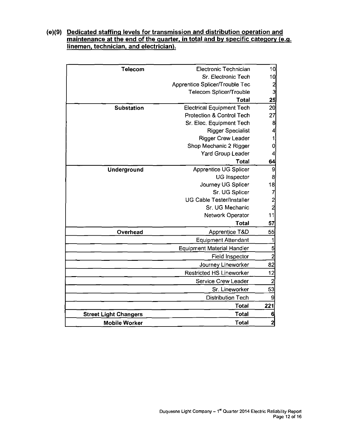#### **(e)(9) Dedicated staffing levels for transmission and distribution operation and maintenance at the end of the quarter, in total and by specific category (e.g. linemen, technician, and electrician).**

| <b>Telecom</b>               | Electronic Technician             | 10                                                       |
|------------------------------|-----------------------------------|----------------------------------------------------------|
|                              | Sr. Electronic Tech               | 10                                                       |
|                              | Apprentice Splicer/Trouble Tec    |                                                          |
|                              | Telecom Splicer/Trouble           | $\begin{array}{c}\n 2 \\ 3 \\ \hline\n 25\n \end{array}$ |
|                              | <b>Total</b>                      |                                                          |
| <b>Substation</b>            | <b>Electrical Equipment Tech</b>  | $\overline{20}$                                          |
|                              | Protection & Control Tech         | 27                                                       |
|                              | Sr. Elec. Equipment Tech          | $\bf{8}$                                                 |
|                              | <b>Rigger Specialist</b>          | $\overline{4}$                                           |
|                              | <b>Rigger Crew Leader</b>         | 1                                                        |
|                              | Shop Mechanic 2 Rigger            | 0                                                        |
|                              | Yard Group Leader                 | 4                                                        |
|                              | Total                             | 64                                                       |
| Underground                  | <b>Apprentice UG Splicer</b>      | 9                                                        |
|                              | <b>UG Inspector</b>               | 8                                                        |
|                              | Journey UG Splicer                | 18                                                       |
|                              | Sr. UG Splicer                    | 7                                                        |
|                              | <b>UG Cable Tester/Installer</b>  | $\frac{2}{2}$                                            |
|                              | Sr. UG Mechanic                   |                                                          |
|                              | Network Operator                  | 11                                                       |
|                              | Total                             | 57                                                       |
| Overhead                     | <b>Apprentice T&amp;D</b>         | 55                                                       |
|                              | <b>Equipment Attendant</b>        | 1                                                        |
|                              | <b>Equipment Material Handler</b> | $\overline{5}$                                           |
|                              | <b>Field Inspector</b>            | $\overline{2}$                                           |
|                              | Journey Lineworker                | 82                                                       |
|                              | <b>Restricted HS Lineworker</b>   | 12                                                       |
|                              | Service Crew Leader               | $\overline{c}$                                           |
|                              | Sr. Lineworker                    | 53                                                       |
|                              | <b>Distribution Tech</b>          | 9                                                        |
|                              | Total                             | 221                                                      |
| <b>Street Light Changers</b> | <b>Total</b>                      | 6                                                        |
| <b>Mobile Worker</b>         | <b>Total</b>                      | $\overline{2}$                                           |
|                              |                                   |                                                          |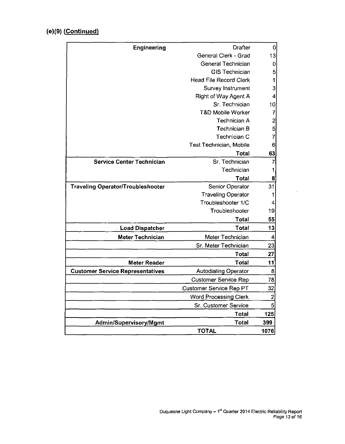# **(e)(9) (Continued)**

| General Clerk - Grad<br>General Technician<br><b>GIS Technician</b><br><b>Head File Record Clerk</b><br>1<br>Survey Instrument<br>3<br>Right of Way Agent A<br>Sr. Technician<br><b>T&amp;D Mobile Worker</b><br>7<br>$\overline{\mathbf{c}}$<br>Technician A<br>$5\overline{)}$<br>Technician B<br>$\overline{7}$<br>Technician C<br>Test Technician, Mobile<br>6<br>63<br>Total<br><b>Service Center Technician</b><br>Sr. Technician<br>$\overline{7}$<br>Technician<br>1<br>Total<br>8<br>Senior Operator<br><b>Traveling Operator/Troubleshooter</b><br>31<br><b>Traveling Operator</b><br>1<br>Troubleshooter 1/C<br>4<br>Troubleshooter<br>19<br>Total<br>55<br>Total<br>13<br><b>Load Dispatcher</b><br>Meter Technician<br>Meter Technician<br>4<br>23<br>Sr. Meter Technician<br>Total<br>27<br><b>Meter Reader</b><br>Total<br>11<br>8<br><b>Customer Service Representatives</b><br><b>Autodialing Operator</b><br>78<br><b>Customer Service Rep</b><br>32<br>Customer Service Rep PT<br>$\overline{2}$<br><b>Word Processing Clerk</b><br>$\overline{5}$<br>Sr. Customer Service<br>125<br>Total<br>Total<br>399<br>Admin/Supervisory/Mgmt<br><b>TOTAL</b> | Engineering | Drafter | 0        |
|-------------------------------------------------------------------------------------------------------------------------------------------------------------------------------------------------------------------------------------------------------------------------------------------------------------------------------------------------------------------------------------------------------------------------------------------------------------------------------------------------------------------------------------------------------------------------------------------------------------------------------------------------------------------------------------------------------------------------------------------------------------------------------------------------------------------------------------------------------------------------------------------------------------------------------------------------------------------------------------------------------------------------------------------------------------------------------------------------------------------------------------------------------------------------|-------------|---------|----------|
|                                                                                                                                                                                                                                                                                                                                                                                                                                                                                                                                                                                                                                                                                                                                                                                                                                                                                                                                                                                                                                                                                                                                                                         |             |         | 13       |
|                                                                                                                                                                                                                                                                                                                                                                                                                                                                                                                                                                                                                                                                                                                                                                                                                                                                                                                                                                                                                                                                                                                                                                         |             |         | $\bf{0}$ |
|                                                                                                                                                                                                                                                                                                                                                                                                                                                                                                                                                                                                                                                                                                                                                                                                                                                                                                                                                                                                                                                                                                                                                                         |             |         | 5        |
|                                                                                                                                                                                                                                                                                                                                                                                                                                                                                                                                                                                                                                                                                                                                                                                                                                                                                                                                                                                                                                                                                                                                                                         |             |         |          |
|                                                                                                                                                                                                                                                                                                                                                                                                                                                                                                                                                                                                                                                                                                                                                                                                                                                                                                                                                                                                                                                                                                                                                                         |             |         |          |
|                                                                                                                                                                                                                                                                                                                                                                                                                                                                                                                                                                                                                                                                                                                                                                                                                                                                                                                                                                                                                                                                                                                                                                         |             |         | 4        |
|                                                                                                                                                                                                                                                                                                                                                                                                                                                                                                                                                                                                                                                                                                                                                                                                                                                                                                                                                                                                                                                                                                                                                                         |             |         | 10       |
|                                                                                                                                                                                                                                                                                                                                                                                                                                                                                                                                                                                                                                                                                                                                                                                                                                                                                                                                                                                                                                                                                                                                                                         |             |         |          |
|                                                                                                                                                                                                                                                                                                                                                                                                                                                                                                                                                                                                                                                                                                                                                                                                                                                                                                                                                                                                                                                                                                                                                                         |             |         |          |
|                                                                                                                                                                                                                                                                                                                                                                                                                                                                                                                                                                                                                                                                                                                                                                                                                                                                                                                                                                                                                                                                                                                                                                         |             |         |          |
|                                                                                                                                                                                                                                                                                                                                                                                                                                                                                                                                                                                                                                                                                                                                                                                                                                                                                                                                                                                                                                                                                                                                                                         |             |         |          |
|                                                                                                                                                                                                                                                                                                                                                                                                                                                                                                                                                                                                                                                                                                                                                                                                                                                                                                                                                                                                                                                                                                                                                                         |             |         |          |
|                                                                                                                                                                                                                                                                                                                                                                                                                                                                                                                                                                                                                                                                                                                                                                                                                                                                                                                                                                                                                                                                                                                                                                         |             |         |          |
|                                                                                                                                                                                                                                                                                                                                                                                                                                                                                                                                                                                                                                                                                                                                                                                                                                                                                                                                                                                                                                                                                                                                                                         |             |         |          |
|                                                                                                                                                                                                                                                                                                                                                                                                                                                                                                                                                                                                                                                                                                                                                                                                                                                                                                                                                                                                                                                                                                                                                                         |             |         |          |
|                                                                                                                                                                                                                                                                                                                                                                                                                                                                                                                                                                                                                                                                                                                                                                                                                                                                                                                                                                                                                                                                                                                                                                         |             |         |          |
|                                                                                                                                                                                                                                                                                                                                                                                                                                                                                                                                                                                                                                                                                                                                                                                                                                                                                                                                                                                                                                                                                                                                                                         |             |         |          |
|                                                                                                                                                                                                                                                                                                                                                                                                                                                                                                                                                                                                                                                                                                                                                                                                                                                                                                                                                                                                                                                                                                                                                                         |             |         |          |
|                                                                                                                                                                                                                                                                                                                                                                                                                                                                                                                                                                                                                                                                                                                                                                                                                                                                                                                                                                                                                                                                                                                                                                         |             |         |          |
|                                                                                                                                                                                                                                                                                                                                                                                                                                                                                                                                                                                                                                                                                                                                                                                                                                                                                                                                                                                                                                                                                                                                                                         |             |         |          |
|                                                                                                                                                                                                                                                                                                                                                                                                                                                                                                                                                                                                                                                                                                                                                                                                                                                                                                                                                                                                                                                                                                                                                                         |             |         |          |
|                                                                                                                                                                                                                                                                                                                                                                                                                                                                                                                                                                                                                                                                                                                                                                                                                                                                                                                                                                                                                                                                                                                                                                         |             |         |          |
|                                                                                                                                                                                                                                                                                                                                                                                                                                                                                                                                                                                                                                                                                                                                                                                                                                                                                                                                                                                                                                                                                                                                                                         |             |         |          |
|                                                                                                                                                                                                                                                                                                                                                                                                                                                                                                                                                                                                                                                                                                                                                                                                                                                                                                                                                                                                                                                                                                                                                                         |             |         |          |
|                                                                                                                                                                                                                                                                                                                                                                                                                                                                                                                                                                                                                                                                                                                                                                                                                                                                                                                                                                                                                                                                                                                                                                         |             |         |          |
|                                                                                                                                                                                                                                                                                                                                                                                                                                                                                                                                                                                                                                                                                                                                                                                                                                                                                                                                                                                                                                                                                                                                                                         |             |         |          |
|                                                                                                                                                                                                                                                                                                                                                                                                                                                                                                                                                                                                                                                                                                                                                                                                                                                                                                                                                                                                                                                                                                                                                                         |             |         |          |
|                                                                                                                                                                                                                                                                                                                                                                                                                                                                                                                                                                                                                                                                                                                                                                                                                                                                                                                                                                                                                                                                                                                                                                         |             |         |          |
|                                                                                                                                                                                                                                                                                                                                                                                                                                                                                                                                                                                                                                                                                                                                                                                                                                                                                                                                                                                                                                                                                                                                                                         |             |         |          |
|                                                                                                                                                                                                                                                                                                                                                                                                                                                                                                                                                                                                                                                                                                                                                                                                                                                                                                                                                                                                                                                                                                                                                                         |             |         |          |
|                                                                                                                                                                                                                                                                                                                                                                                                                                                                                                                                                                                                                                                                                                                                                                                                                                                                                                                                                                                                                                                                                                                                                                         |             |         |          |
|                                                                                                                                                                                                                                                                                                                                                                                                                                                                                                                                                                                                                                                                                                                                                                                                                                                                                                                                                                                                                                                                                                                                                                         |             |         |          |
|                                                                                                                                                                                                                                                                                                                                                                                                                                                                                                                                                                                                                                                                                                                                                                                                                                                                                                                                                                                                                                                                                                                                                                         |             |         |          |
|                                                                                                                                                                                                                                                                                                                                                                                                                                                                                                                                                                                                                                                                                                                                                                                                                                                                                                                                                                                                                                                                                                                                                                         |             |         | 1076     |

 $\overline{a}$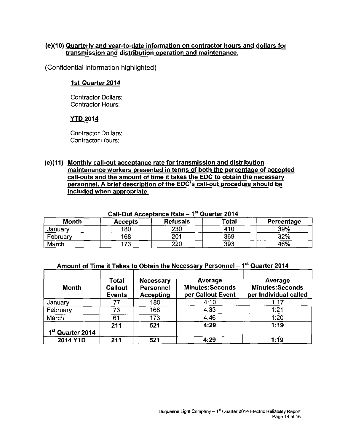#### **(e){10) Quarterly and year-to-date information on contractor hours and dollars for transmission and distribution operation and maintenance.**

(Confidential information highlighted)

#### **1st Quarter 2014**

Contractor Dollars: Contractor Hours:

#### **YTD 2014**

Contractor Dollars: Contractor Hours:

#### **(e)(11) Monthly call-out acceptance rate for transmission and distribution maintenance workers presented in terms of both the percentage of accepted call-outs and the amount of time it takes the EDC to obtain the necessary personnel. A brief description of the EDC's call-out procedure should be included when appropriate.**

| $\sim$ an $\sim$ at rwoopkanoo nato<br>------------ |                |                 |              |            |  |  |  |  |  |
|-----------------------------------------------------|----------------|-----------------|--------------|------------|--|--|--|--|--|
| Month                                               | <b>Accepts</b> | <b>Refusals</b> | <b>Total</b> | Percentage |  |  |  |  |  |
| January                                             | 180            | 230             | 410          | 39%        |  |  |  |  |  |
| February                                            | 168            | 201             | 369          | 32%        |  |  |  |  |  |
| March                                               | 172            | 220             | 393          | 46%        |  |  |  |  |  |

#### **Call-Out Acceptance Rate - 1<sup>s</sup> <sup>t</sup> Quarter 2014**

#### Amount of Time it Takes to Obtain the Necessary Personnel – 1<sup>st</sup> Quarter 2014

| Month                        | Total<br><b>Callout</b><br><b>Events</b> | <b>Necessary</b><br><b>Personnel</b><br><b>Accepting</b> | Average<br><b>Minutes:Seconds</b><br>per Callout Event | Average<br><b>Minutes:Seconds</b><br>per Individual called |  |  |
|------------------------------|------------------------------------------|----------------------------------------------------------|--------------------------------------------------------|------------------------------------------------------------|--|--|
| January                      | 77                                       | 180                                                      | 4:10                                                   | 1:17                                                       |  |  |
| February                     | 73                                       | 168                                                      | 4:33                                                   | 1:21                                                       |  |  |
| March                        | 61                                       | 173                                                      | 4:46                                                   | 1:20                                                       |  |  |
| 1 <sup>st</sup> Quarter 2014 | 211                                      | 521                                                      | 4:29                                                   | 1:19                                                       |  |  |
| <b>2014 YTD</b>              | 211                                      | 521                                                      | 4:29                                                   | 1:19                                                       |  |  |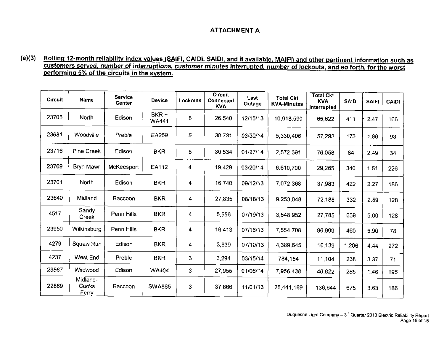## **ATTACHMENT A**

#### **( e )( <sup>3</sup> ) Rolling 12-month reliability index values (SAIFI. CAIDI. SAIDI, and if available. MAIFI) and other pertinent information such as customers served, number of interruptions, customer minutes interrupted, number of lockouts, and so forth, for the worst performing 5% of the circuits in the system.**

| <b>Circuit</b> | Name                       | <b>Service</b><br><b>Center</b> | <b>Device</b>         | <b>Lockouts</b> | Circuit<br><b>Connected</b><br><b>KVA</b> | Last<br>Outage | <b>Total Ckt</b><br><b>KVA-Minutes</b> | <b>Total Ckt</b><br><b>KVA</b><br>Interrupted | <b>SAIDI</b> | <b>SAIFI</b> | <b>CAIDI</b> |
|----------------|----------------------------|---------------------------------|-----------------------|-----------------|-------------------------------------------|----------------|----------------------------------------|-----------------------------------------------|--------------|--------------|--------------|
| 23705          | North                      | Edison                          | BKR +<br><b>WA441</b> | 6               | 26,540                                    | 12/15/13       | 10,918,590                             | 65,622                                        | 411          | 2.47         | 166          |
| 23681          | Woodville                  | Preble                          | EA259                 | 5               | 30,731                                    | 03/30/14       | 5,330,406                              | 57,292                                        | 173          | 1.86         | 93           |
| 23716          | Pine Creek                 | Edison                          | <b>BKR</b>            | 5               | 30,534                                    | 01/27/14       | 2,572,391                              | 76,058                                        | 84           | 2.49         | 34           |
| 23769          | Bryn Mawr                  | McKeesport                      | EA112                 | 4               | 19,429                                    | 03/20/14       | 6,610,700                              | 29,265                                        | 340          | 1.51         | 226          |
| 23701          | <b>North</b>               | Edison                          | <b>BKR</b>            | 4               | 16,740                                    | 09/12/13       | 7,072.368                              | 37,983                                        | 422          | 2.27         | 186          |
| 23640          | Midland                    | Raccoon                         | <b>BKR</b>            | 4               | 27,835                                    | 08/18/13       | 9,253,048                              | 72,185                                        | 332          | 2.59         | 128          |
| 4517           | Sandy<br>Creek             | Penn Hills                      | <b>BKR</b>            | 4               | 5,556                                     | 07/19/13       | 3,548,952                              | 27,785                                        | 639          | 5.00         | 128          |
| 23950          | Wilkinsburg                | Penn Hills                      | <b>BKR</b>            | 4               | 16,413                                    | 07/16/13       | 7,554,708                              | 96,909                                        | 460          | 5.90         | 78           |
| 4279           | Squaw Run                  | Edison                          | <b>BKR</b>            | 4               | 3,639                                     | 07/10/13       | 4,389,645                              | 16,139                                        | 1,206        | 4.44         | 272          |
| 4237           | West End                   | Preble                          | <b>BKR</b>            | $\overline{3}$  | 3,294                                     | 03/15/14       | 784,154                                | 11,104                                        | 238          | 3.37         | 71           |
| 23867          | Wildwood                   | Edison                          | <b>WA404</b>          | 3               | 27,955                                    | 01/06/14       | 7,956,438                              | 40,822                                        | 285          | 1.46         | 195          |
| 22869          | Midland-<br>Cooks<br>Ferry | Raccoon                         | <b>SWA885</b>         | 3               | 37,666                                    | 11/01/13       | 25,441,169                             | 136,644                                       | 675          | 3.63         | 186          |